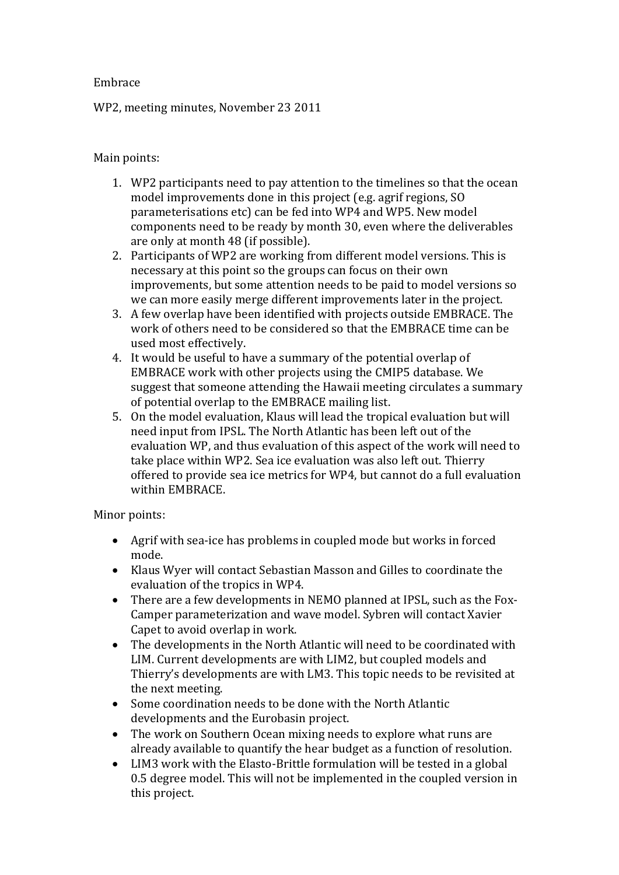## Embrace

WP2, meeting minutes, November 23 2011

## Main points:

- 1. WP2 participants need to pay attention to the timelines so that the ocean model improvements done in this project (e.g. agrif regions, SO parameterisations etc) can be fed into WP4 and WP5. New model components need to be ready by month 30, even where the deliverables are only at month 48 (if possible).
- 2. Participants of WP2 are working from different model versions. This is necessary at this point so the groups can focus on their own improvements, but some attention needs to be paid to model versions so we can more easily merge different improvements later in the project.
- 3. A few overlap have been identified with projects outside EMBRACE. The work of others need to be considered so that the EMBRACE time can be used most effectively.
- 4. It would be useful to have a summary of the potential overlap of EMBRACE work with other projects using the CMIP5 database. We suggest that someone attending the Hawaii meeting circulates a summary of potential overlap to the EMBRACE mailing list.
- 5. On the model evaluation, Klaus will lead the tropical evaluation but will need input from IPSL. The North Atlantic has been left out of the evaluation WP, and thus evaluation of this aspect of the work will need to take place within WP2. Sea ice evaluation was also left out. Thierry offered to provide sea ice metrics for WP4, but cannot do a full evaluation within EMBRACE.

## Minor points:

- Agrif with sea-ice has problems in coupled mode but works in forced mode.
- Klaus Wyer will contact Sebastian Masson and Gilles to coordinate the evaluation of the tropics in WP4.
- There are a few developments in NEMO planned at IPSL, such as the Fox-Camper parameterization and wave model. Sybren will contact Xavier Capet to avoid overlap in work.
- The developments in the North Atlantic will need to be coordinated with LIM. Current developments are with LIM2, but coupled models and Thierry's developments are with LM3. This topic needs to be revisited at the next meeting.
- Some coordination needs to be done with the North Atlantic developments and the Eurobasin project.
- The work on Southern Ocean mixing needs to explore what runs are already available to quantify the hear budget as a function of resolution.
- LIM3 work with the Elasto-Brittle formulation will be tested in a global 0.5 degree model. This will not be implemented in the coupled version in this project.